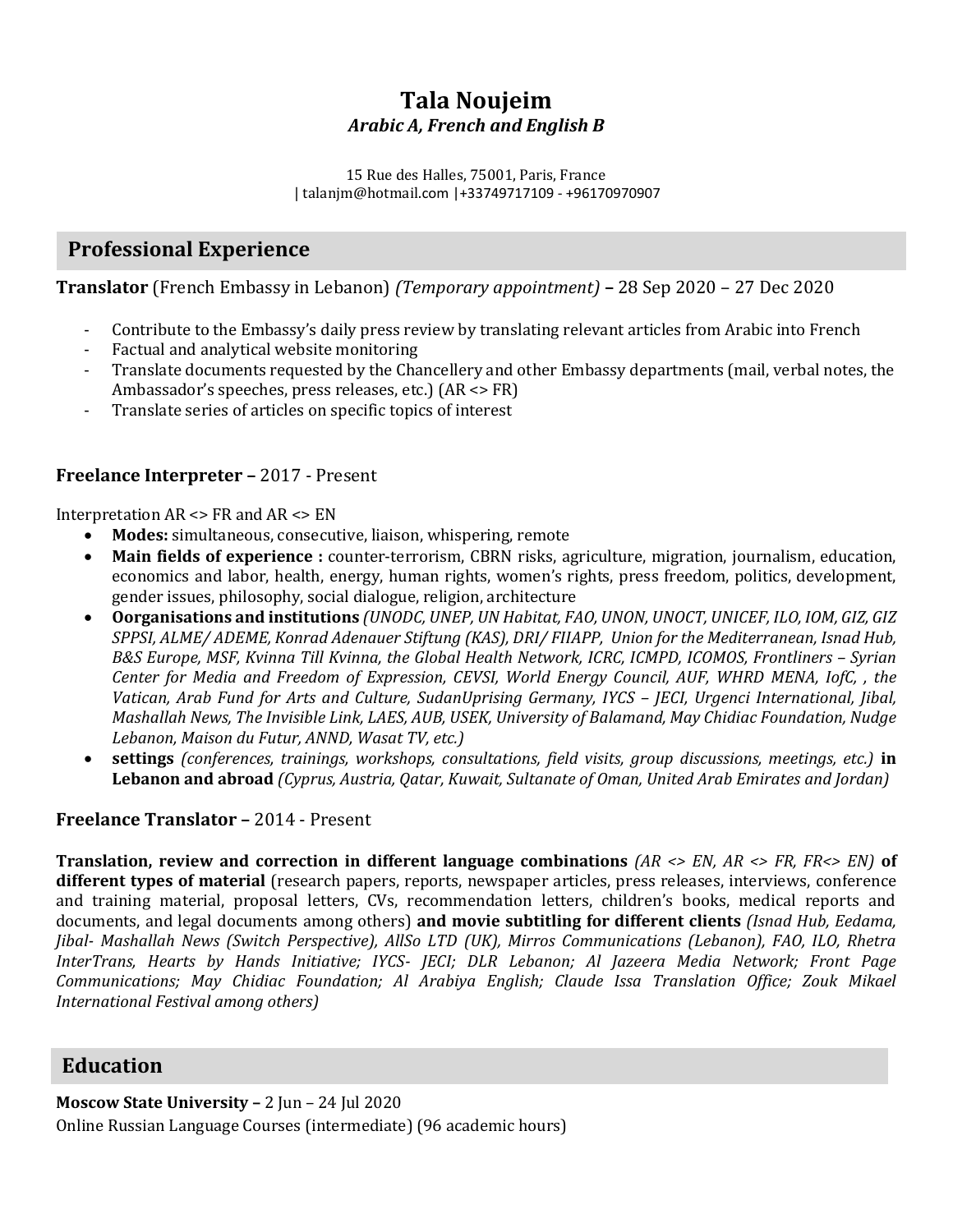# **Tala Noujeim** *Arabic A, French and English B*

15 Rue des Halles, 75001, Paris, France | talanjm@hotmail.com |+33749717109 - +96170970907

## **Professional Experience**

**Translator** (French Embassy in Lebanon) *(Temporary appointment)* **–** 28 Sep 2020 – 27 Dec 2020

- Contribute to the Embassy's daily press review by translating relevant articles from Arabic into French
- Factual and analytical website monitoring
- Translate documents requested by the Chancellery and other Embassy departments (mail, verbal notes, the Ambassador's speeches, press releases, etc.) (AR <> FR)
- Translate series of articles on specific topics of interest

#### **Freelance Interpreter –** 2017 - Present

Interpretation AR <> FR and AR <> EN

- **Modes:** simultaneous, consecutive, liaison, whispering, remote
- **Main fields of experience :** counter-terrorism, CBRN risks, agriculture, migration, journalism, education, economics and labor, health, energy, human rights, women's rights, press freedom, politics, development, gender issues, philosophy, social dialogue, religion, architecture
- **Oorganisations and institutions** *(UNODC, UNEP, UN Habitat, FAO, UNON, UNOCT, UNICEF, ILO, IOM, GIZ, GIZ SPPSI, ALME/ ADEME, Konrad Adenauer Stiftung (KAS), DRI/ FIIAPP, Union for the Mediterranean, Isnad Hub, B&S Europe, MSF, Kvinna Till Kvinna, the Global Health Network, ICRC, ICMPD, ICOMOS, Frontliners - Syrian Center for Media and Freedom of Expression, CEVSI, World Energy Council, AUF, WHRD MENA, IofC, , the Vatican, Arab Fund for Arts and Culture, SudanUprising Germany, IYCS - [ECI, Urgenci International, [ibal, Mashallah News, The Invisible Link, LAES, AUB, USEK, University of Balamand, May Chidiac Foundation, Nudge Lebanon, Maison du Futur, ANND, Wasat TV, etc.)*
- **settings** *(conferences, trainings, workshops, consultations, field visits, group discussions, meetings, etc.)* **in Lebanon and abroad** *(Cyprus, Austria, Qatar, Kuwait, Sultanate of Oman, United Arab Emirates and Jordan)*

## **Freelance Translator –** 2014 - Present

**Translation, review and correction in different language combinations** *(AR <> EN, AR <> FR, FR<> EN)* **of different types of material** (research papers, reports, newspaper articles, press releases, interviews, conference and training material, proposal letters, CVs, recommendation letters, children's books, medical reports and documents, and legal documents among others) **and movie subtitling for different clients** *(Isnad Hub, Eedama, Jibal- Mashallah News (Switch Perspective), AllSo LTD (UK), Mirros Communications (Lebanon), FAO, ILO, Rhetra InterTrans, Hearts by Hands Initiative; IYCS- JECI; DLR Lebanon; Al Jazeera Media Network; Front Page Communications; May Chidiac Foundation; Al Arabiya English; Claude Issa Translation Office; Zouk Mikael International Festival among others)* 

## **Education**

**Moscow State University –** 2 Jun – 24 Jul 2020 Online Russian Language Courses (intermediate) (96 academic hours)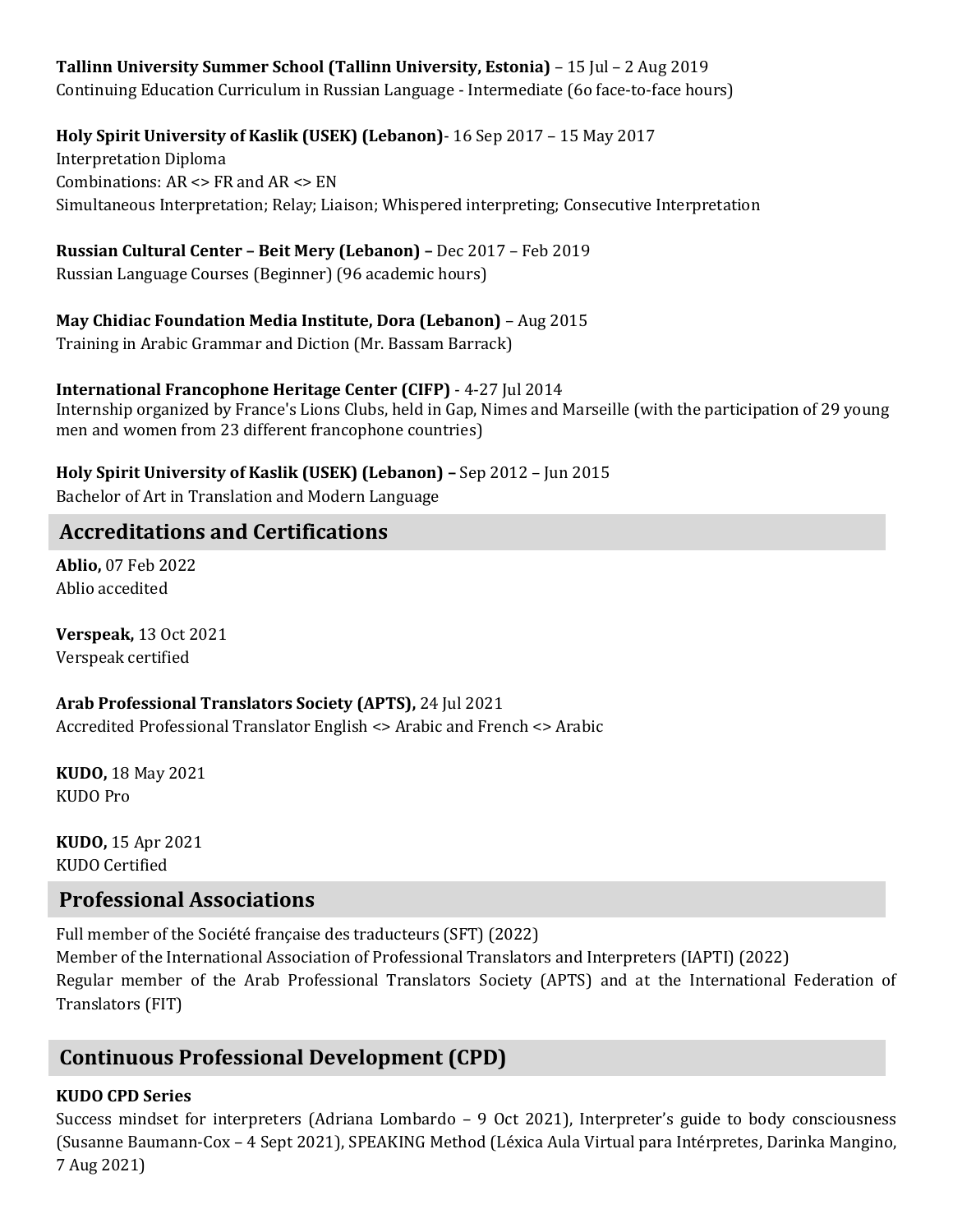## **Tallinn University Summer School (Tallinn University, Estonia)** – 15 Jul – 2 Aug 2019

Continuing Education Curriculum in Russian Language - Intermediate (6o face-to-face hours)

## **Holy Spirit University of Kaslik (USEK) (Lebanon)**- 16 Sep 2017 – 15 May 2017

Interpretation Diploma Combinations: AR <> FR and AR <> EN Simultaneous Interpretation; Relay; Liaison; Whispered interpreting; Consecutive Interpretation

## **Russian Cultural Center – Beit Mery (Lebanon) –** Dec 2017 – Feb 2019

Russian Language Courses (Beginner) (96 academic hours)

## **May Chidiac Foundation Media Institute, Dora (Lebanon)** – Aug 2015

Training in Arabic Grammar and Diction (Mr. Bassam Barrack)

## **International Francophone Heritage Center (CIFP)** - 4-27 Jul 2014

Internship organized by France's Lions Clubs, held in Gap, Nimes and Marseille (with the participation of 29 young men and women from 23 different francophone countries)

## **Holy Spirit University of Kaslik (USEK) (Lebanon) –** Sep 2012 – Jun 2015

Bachelor of Art in Translation and Modern Language

## **Accreditations and Certifications**

**Ablio,** 07 Feb 2022 Ablio accedited

**Verspeak,** 13 Oct 2021 Verspeak certified

#### **Arab Professional Translators Society (APTS),** 24 Jul 2021 Accredited Professional Translator English <> Arabic and French <> Arabic

**KUDO,** 18 May 2021 KUDO Pro

**KUDO,** 15 Apr 2021 KUDO Certified

## **Professional Associations**

Full member of the Société française des traducteurs (SFT) (2022) Member of the International Association of Professional Translators and Interpreters (IAPTI) (2022) Regular member of the Arab Professional Translators Society (APTS) and at the International Federation of Translators (FIT)

# **Continuous Professional Development (CPD)**

## **KUDO CPD Series**

Success mindset for interpreters (Adriana Lombardo – 9 Oct 2021), Interpreter's guide to body consciousness (Susanne Baumann-Cox – 4 Sept 2021), SPEAKING Method (Léxica Aula Virtual para Intérpretes, Darinka Mangino, 7 Aug 2021)